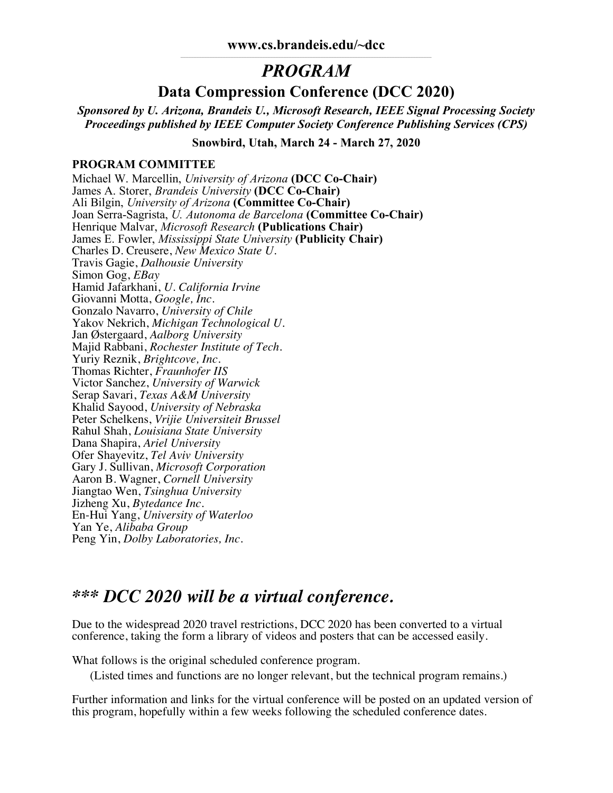## *PROGRAM*

**Data Compression Conference (DCC 2020)**

*Sponsored by U. Arizona, Brandeis U., Microsoft Research, IEEE Signal Processing Society Proceedings published by IEEE Computer Society Conference Publishing Services (CPS)*

**Snowbird, Utah, March 24 - March 27, 2020**

#### **PROGRAM COMMITTEE**

Michael W. Marcellin, *University of Arizona* **(DCC Co-Chair)** James A. Storer, *Brandeis University* **(DCC Co-Chair)** Ali Bilgin, *University of Arizona* **(Committee Co-Chair)** Joan Serra-Sagrista, *U. Autonoma de Barcelona* **(Committee Co-Chair)** Henrique Malvar, *Microsoft Research* **(Publications Chair)** James E. Fowler, *Mississippi State University* **(Publicity Chair)** Charles D. Creusere, *New Mexico State U.* Travis Gagie, *Dalhousie University* Simon Gog, *EBay* Hamid Jafarkhani, *U. California Irvine* Giovanni Motta, *Google, Inc.* Gonzalo Navarro, *University of Chile* Yakov Nekrich, *Michigan Technological U.* Jan Østergaard, *Aalborg University* Majid Rabbani, *Rochester Institute of Tech.* Yuriy Reznik, *Brightcove, Inc.* Thomas Richter, *Fraunhofer IIS* Victor Sanchez, *University of Warwick* Serap Savari, *Texas A&M University* Khalid Sayood, *University of Nebraska* Peter Schelkens, *Vrijie Universiteit Brussel* Rahul Shah, *Louisiana State University* Dana Shapira, *Ariel University* Ofer Shayevitz, *Tel Aviv University* Gary J. Sullivan, *Microsoft Corporation* Aaron B. Wagner, *Cornell University* Jiangtao Wen, *Tsinghua University* Jizheng Xu, *Bytedance Inc.* En-Hui Yang, *University of Waterloo* Yan Ye, *Alibaba Group* Peng Yin, *Dolby Laboratories, Inc.*

## *\*\*\* DCC 2020 will be a virtual conference.*

Due to the widespread 2020 travel restrictions, DCC 2020 has been converted to a virtual conference, taking the form a library of videos and posters that can be accessed easily.

What follows is the original scheduled conference program.

(Listed times and functions are no longer relevant, but the technical program remains.)

Further information and links for the virtual conference will be posted on an updated version of this program, hopefully within a few weeks following the scheduled conference dates.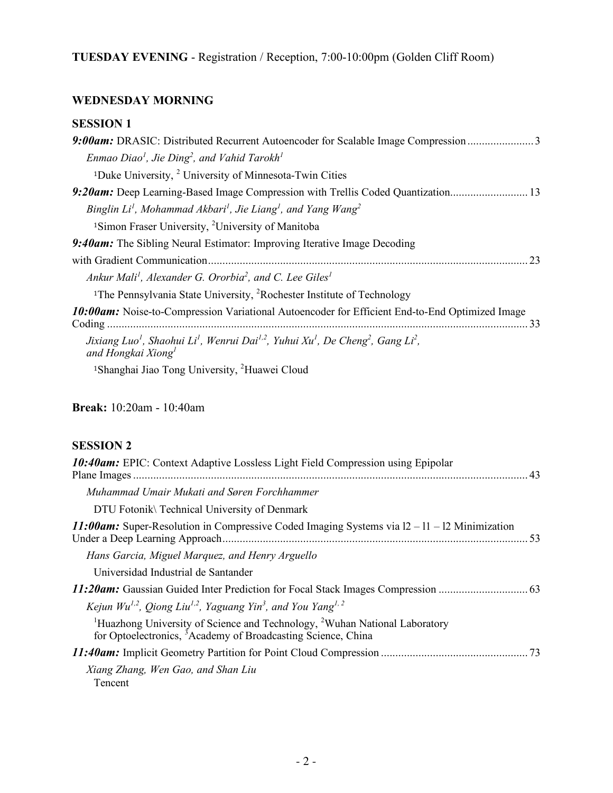### **WEDNESDAY MORNING**

### **SESSION 1**

| Enmao Diao <sup>1</sup> , Jie Ding <sup>2</sup> , and Vahid Tarokh <sup>1</sup>                                                                                                           |
|-------------------------------------------------------------------------------------------------------------------------------------------------------------------------------------------|
| <sup>1</sup> Duke University, <sup>2</sup> University of Minnesota-Twin Cities                                                                                                            |
| 9:20am: Deep Learning-Based Image Compression with Trellis Coded Quantization 13                                                                                                          |
| Binglin Li <sup>1</sup> , Mohammad Akbari <sup>1</sup> , Jie Liang <sup>1</sup> , and Yang Wang <sup>2</sup>                                                                              |
| <sup>1</sup> Simon Fraser University, <sup>2</sup> University of Manitoba                                                                                                                 |
| <b>9:40am:</b> The Sibling Neural Estimator: Improving Iterative Image Decoding                                                                                                           |
| 23                                                                                                                                                                                        |
| Ankur Mali <sup>1</sup> , Alexander G. Ororbia <sup>2</sup> , and C. Lee Giles <sup>1</sup>                                                                                               |
| <sup>1</sup> The Pennsylvania State University, <sup>2</sup> Rochester Institute of Technology                                                                                            |
| 10:00am: Noise-to-Compression Variational Autoencoder for Efficient End-to-End Optimized Image<br>33                                                                                      |
| Jixiang Luo <sup>1</sup> , Shaohui Li <sup>1</sup> , Wenrui Dai <sup>1,2</sup> , Yuhui Xu <sup>1</sup> , De Cheng <sup>2</sup> , Gang Li <sup>2</sup> ,<br>and Hongkai Xiong <sup>1</sup> |
| <sup>1</sup> Shanghai Jiao Tong University, <sup>2</sup> Huawei Cloud                                                                                                                     |

## **Break:** 10:20am - 10:40am

### **SESSION 2**

| <b>10:40am:</b> EPIC: Context Adaptive Lossless Light Field Compression using Epipolar                                                                                         |  |
|--------------------------------------------------------------------------------------------------------------------------------------------------------------------------------|--|
| Muhammad Umair Mukati and Søren Forchhammer                                                                                                                                    |  |
| DTU Fotonik\ Technical University of Denmark                                                                                                                                   |  |
| 11:00am: Super-Resolution in Compressive Coded Imaging Systems via $12 - 11 - 12$ Minimization                                                                                 |  |
| Hans Garcia, Miguel Marquez, and Henry Arguello                                                                                                                                |  |
| Universidad Industrial de Santander                                                                                                                                            |  |
|                                                                                                                                                                                |  |
| Kejun Wu <sup>1,2</sup> , Qiong Liu <sup>1,2</sup> , Yaguang Yin <sup>3</sup> , and You Yang <sup>1,2</sup>                                                                    |  |
| <sup>1</sup> Huazhong University of Science and Technology, <sup>2</sup> Wuhan National Laboratory<br>for Optoelectronics, <sup>3</sup> Academy of Broadcasting Science, China |  |
|                                                                                                                                                                                |  |
| Xiang Zhang, Wen Gao, and Shan Liu<br>Tencent                                                                                                                                  |  |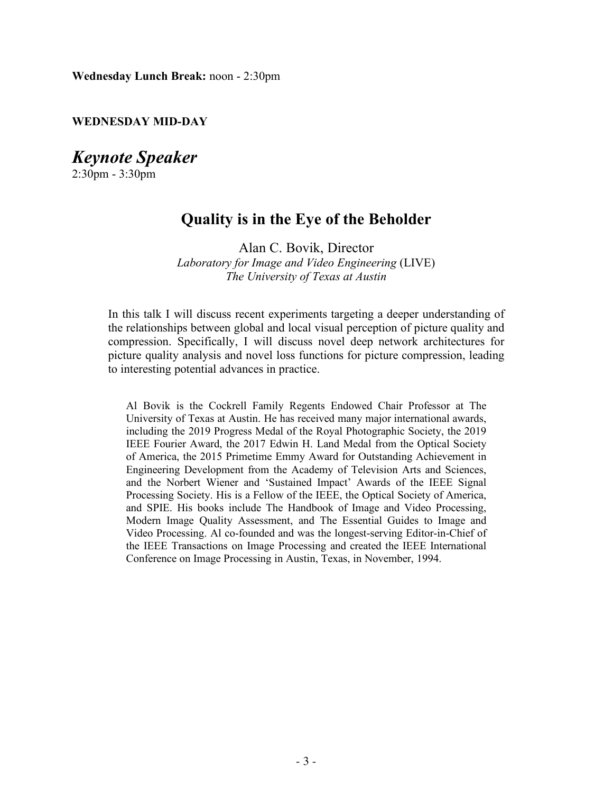**Wednesday Lunch Break:** noon - 2:30pm

**WEDNESDAY MID-DAY**

*Keynote Speaker* 2:30pm - 3:30pm

**Quality is in the Eye of the Beholder**

Alan C. Bovik, Director *Laboratory for Image and Video Engineering* (LIVE) *The University of Texas at Austin*

In this talk I will discuss recent experiments targeting a deeper understanding of the relationships between global and local visual perception of picture quality and compression. Specifically, I will discuss novel deep network architectures for picture quality analysis and novel loss functions for picture compression, leading to interesting potential advances in practice.

Al Bovik is the Cockrell Family Regents Endowed Chair Professor at The University of Texas at Austin. He has received many major international awards, including the 2019 Progress Medal of the Royal Photographic Society, the 2019 IEEE Fourier Award, the 2017 Edwin H. Land Medal from the Optical Society of America, the 2015 Primetime Emmy Award for Outstanding Achievement in Engineering Development from the Academy of Television Arts and Sciences, and the Norbert Wiener and 'Sustained Impact' Awards of the IEEE Signal Processing Society. His is a Fellow of the IEEE, the Optical Society of America, and SPIE. His books include The Handbook of Image and Video Processing, Modern Image Quality Assessment, and The Essential Guides to Image and Video Processing. Al co-founded and was the longest-serving Editor-in-Chief of the IEEE Transactions on Image Processing and created the IEEE International Conference on Image Processing in Austin, Texas, in November, 1994.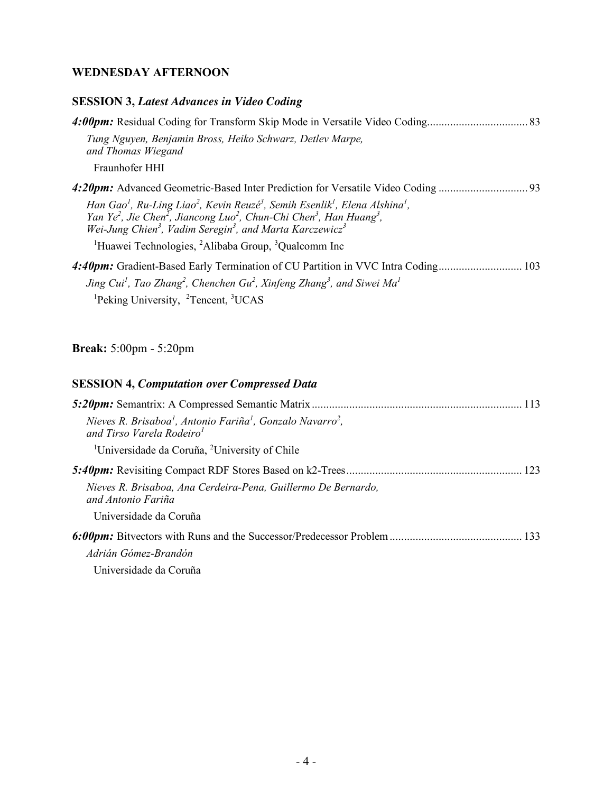#### **WEDNESDAY AFTERNOON**

#### **SESSION 3,** *Latest Advances in Video Coding*

| 4:00pm: Residual Coding for Transform Skip Mode in Versatile Video Coding.                                                                                                                                                                                                                                                                                           |  |
|----------------------------------------------------------------------------------------------------------------------------------------------------------------------------------------------------------------------------------------------------------------------------------------------------------------------------------------------------------------------|--|
| Tung Nguyen, Benjamin Bross, Heiko Schwarz, Detlev Marpe,<br>and Thomas Wiegand                                                                                                                                                                                                                                                                                      |  |
| Fraunhofer HHI                                                                                                                                                                                                                                                                                                                                                       |  |
|                                                                                                                                                                                                                                                                                                                                                                      |  |
| Han Gao <sup>1</sup> , Ru-Ling Liao <sup>2</sup> , Kevin Reuzé <sup>3</sup> , Semih Esenlik <sup>1</sup> , Elena Alshina <sup>1</sup> , Yan Ye <sup>2</sup> , Jie Chen <sup>2</sup> , Jiancong Luo <sup>2</sup> , Chun-Chi Chen <sup>3</sup> , Han Huang <sup>3</sup> , Wei-Jung Chien <sup>3</sup> , Vadim Seregin <sup>3</sup> , and Marta Karczewicz <sup>3</sup> |  |
| <sup>1</sup> Huawei Technologies, <sup>2</sup> Alibaba Group, <sup>3</sup> Qualcomm Inc                                                                                                                                                                                                                                                                              |  |
|                                                                                                                                                                                                                                                                                                                                                                      |  |
| Jing Cui <sup>1</sup> , Tao Zhang <sup>2</sup> , Chenchen Gu <sup>2</sup> , Xinfeng Zhang <sup>3</sup> , and Siwei Ma <sup>1</sup>                                                                                                                                                                                                                                   |  |
| <sup>1</sup> Peking University, <sup>2</sup> Tencent, <sup>3</sup> UCAS                                                                                                                                                                                                                                                                                              |  |

## **Break:** 5:00pm - 5:20pm

## **SESSION 4,** *Computation over Compressed Data*

| Nieves R. Brisaboa <sup>1</sup> , Antonio Fariña <sup>1</sup> , Gonzalo Navarro <sup>2</sup> ,<br>and Tirso Varela Rodeiro <sup>1</sup> |  |
|-----------------------------------------------------------------------------------------------------------------------------------------|--|
| <sup>1</sup> Universidade da Coruña, <sup>2</sup> University of Chile                                                                   |  |
|                                                                                                                                         |  |
| Nieves R. Brisaboa, Ana Cerdeira-Pena, Guillermo De Bernardo,<br>and Antonio Fariña                                                     |  |
| Universidade da Coruña                                                                                                                  |  |
|                                                                                                                                         |  |
| Adrián Gómez-Brandón                                                                                                                    |  |
| Universidade da Coruña                                                                                                                  |  |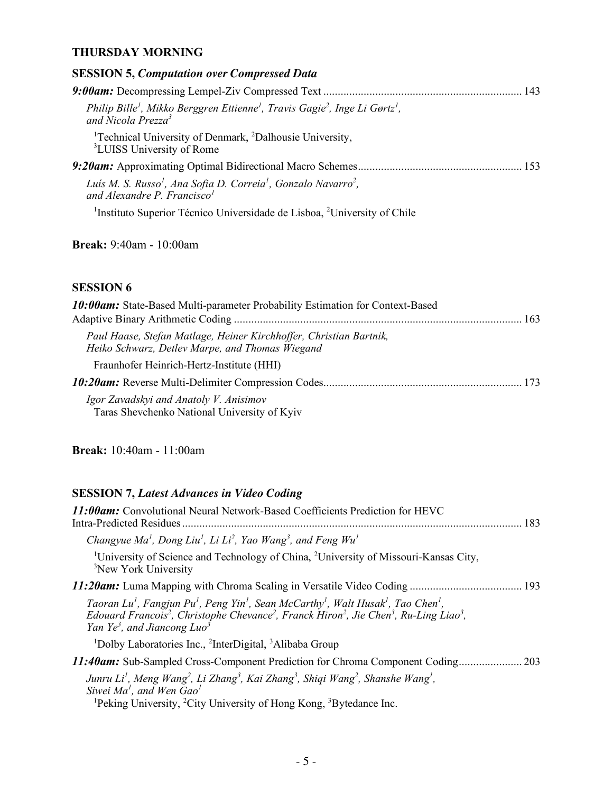#### **THURSDAY MORNING**

## **SESSION 5,** *Computation over Compressed Data*

| Philip Bille <sup>1</sup> , Mikko Berggren Ettienne <sup>1</sup> , Travis Gagie <sup>2</sup> , Inge Li Gørtz <sup>1</sup> ,<br>and Nicola Prezza <sup>3</sup> |  |
|---------------------------------------------------------------------------------------------------------------------------------------------------------------|--|
| <sup>1</sup> Technical University of Denmark, <sup>2</sup> Dalhousie University,<br><sup>3</sup> LUISS University of Rome                                     |  |
|                                                                                                                                                               |  |
| Luís M. S. Russo <sup>1</sup> , Ana Sofia D. Correia <sup>1</sup> , Gonzalo Navarro <sup>2</sup> , and Alexandre P. Francisco <sup>1</sup>                    |  |
| <sup>1</sup> Instituto Superior Técnico Universidade de Lisboa, <sup>2</sup> University of Chile                                                              |  |

**Break:** 9:40am - 10:00am

#### **SESSION 6**

| <b>10:00am:</b> State-Based Multi-parameter Probability Estimation for Context-Based                                  |  |
|-----------------------------------------------------------------------------------------------------------------------|--|
| Paul Haase, Stefan Matlage, Heiner Kirchhoffer, Christian Bartnik,<br>Heiko Schwarz, Detlev Marpe, and Thomas Wiegand |  |
| Fraunhofer Heinrich-Hertz-Institute (HHI)                                                                             |  |
|                                                                                                                       |  |
| Igor Zavadskyi and Anatoly V. Anisimov<br>Taras Shevchenko National University of Kyiv                                |  |

**Break:** 10:40am - 11:00am

## **SESSION 7,** *Latest Advances in Video Coding*

| <b>11:00am:</b> Convolutional Neural Network-Based Coefficients Prediction for HEVC<br>Intra-Predicted Residues                                                                                                                                                                                                                                                        | 183 |
|------------------------------------------------------------------------------------------------------------------------------------------------------------------------------------------------------------------------------------------------------------------------------------------------------------------------------------------------------------------------|-----|
| Changyue Ma <sup>1</sup> , Dong Liu <sup>1</sup> , Li Li <sup>2</sup> , Yao Wang <sup>3</sup> , and Feng Wu <sup>1</sup>                                                                                                                                                                                                                                               |     |
| <sup>1</sup> University of Science and Technology of China, <sup>2</sup> University of Missouri-Kansas City,<br><sup>3</sup> New York University                                                                                                                                                                                                                       |     |
|                                                                                                                                                                                                                                                                                                                                                                        |     |
| Taoran Lu <sup>1</sup> , Fangjun Pu <sup>1</sup> , Peng Yin <sup>1</sup> , Sean McCarthy <sup>1</sup> , Walt Husak <sup>1</sup> , Tao Chen <sup>1</sup> ,<br>Edouard Francois <sup>2</sup> , Christophe Chevance <sup>2</sup> , Franck Hiron <sup>2</sup> , Jie Chen <sup>3</sup> , Ru-Ling Liao <sup>3</sup> ,<br>Yan Ye <sup>3</sup> , and Jiancong Luo <sup>3</sup> |     |
| <sup>1</sup> Dolby Laboratories Inc., <sup>2</sup> InterDigital, <sup>3</sup> Alibaba Group                                                                                                                                                                                                                                                                            |     |
| <b>11:40am:</b> Sub-Sampled Cross-Component Prediction for Chroma Component Coding.                                                                                                                                                                                                                                                                                    | 203 |
| Junru Li <sup>1</sup> , Meng Wang <sup>2</sup> , Li Zhang <sup>3</sup> , Kai Zhang <sup>3</sup> , Shiqi Wang <sup>2</sup> , Shanshe Wang <sup>1</sup> ,<br>Siwei $Ma1$ , and Wen Gao <sup>1</sup>                                                                                                                                                                      |     |
| <sup>1</sup> Peking University, <sup>2</sup> City University of Hong Kong, <sup>3</sup> Bytedance Inc.                                                                                                                                                                                                                                                                 |     |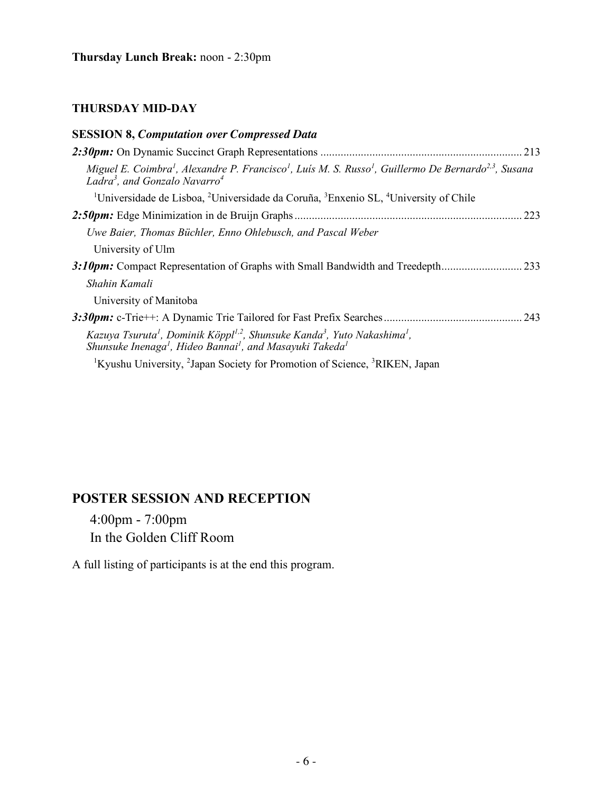### **THURSDAY MID-DAY**

| <b>SESSION 8, Computation over Compressed Data</b>                                                                                                                                                                       |
|--------------------------------------------------------------------------------------------------------------------------------------------------------------------------------------------------------------------------|
|                                                                                                                                                                                                                          |
| Miguel E. Coimbra <sup>1</sup> , Alexandre P. Francisco <sup>1</sup> , Luís M. S. Russo <sup>1</sup> , Guillermo De Bernardo <sup>2,3</sup> , Susana<br>Ladra <sup>3</sup> , and Gonzalo Navarro <sup>4</sup>            |
| <sup>1</sup> Universidade de Lisboa, <sup>2</sup> Universidade da Coruña, <sup>3</sup> Enxenio SL, <sup>4</sup> University of Chile                                                                                      |
| 223                                                                                                                                                                                                                      |
| Uwe Baier, Thomas Büchler, Enno Ohlebusch, and Pascal Weber                                                                                                                                                              |
| University of Ulm                                                                                                                                                                                                        |
|                                                                                                                                                                                                                          |
| Shahin Kamali                                                                                                                                                                                                            |
| University of Manitoba                                                                                                                                                                                                   |
|                                                                                                                                                                                                                          |
| Kazuya Tsuruta <sup>1</sup> , Dominik Köppl <sup>1,2</sup> , Shunsuke Kanda <sup>3</sup> , Yuto Nakashima <sup>1</sup> ,<br>Shunsuke Inenaga <sup>1</sup> , Hideo Bannai <sup>1</sup> , and Masayuki Takeda <sup>1</sup> |
| <sup>1</sup> Kyushu University, <sup>2</sup> Japan Society for Promotion of Science, <sup>3</sup> RIKEN, Japan                                                                                                           |

## **POSTER SESSION AND RECEPTION**

4:00pm - 7:00pm In the Golden Cliff Room

A full listing of participants is at the end this program.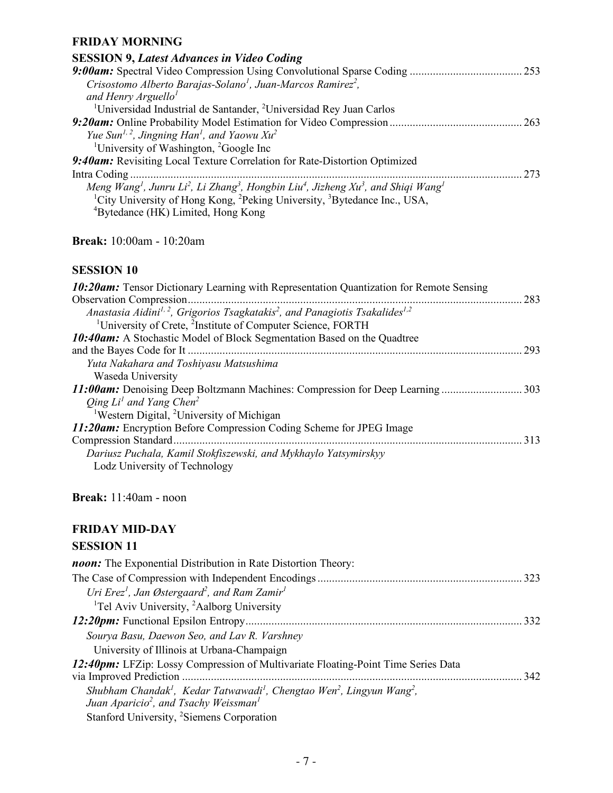#### **FRIDAY MORNING**

| <b>SESSION 9, Latest Advances in Video Coding</b>                                                                                                         |      |
|-----------------------------------------------------------------------------------------------------------------------------------------------------------|------|
|                                                                                                                                                           | .253 |
| Crisostomo Alberto Barajas-Solano <sup>1</sup> , Juan-Marcos Ramirez <sup>2</sup> ,                                                                       |      |
| and Henry Arguello <sup>1</sup>                                                                                                                           |      |
| <sup>1</sup> Universidad Industrial de Santander, <sup>2</sup> Universidad Rey Juan Carlos                                                                |      |
|                                                                                                                                                           | 263  |
| Yue Sun <sup>1, 2</sup> , Jingning Han <sup>1</sup> , and Yaowu Xu <sup>2</sup>                                                                           |      |
| <sup>1</sup> University of Washington, ${}^{2}$ Google Inc                                                                                                |      |
| 9:40am: Revisiting Local Texture Correlation for Rate-Distortion Optimized                                                                                |      |
| Intra Coding                                                                                                                                              | 273  |
| Meng Wang <sup>1</sup> , Junru Li <sup>2</sup> , Li Zhang <sup>3</sup> , Hongbin Liu <sup>4</sup> , Jizheng Xu <sup>3</sup> , and Shiqi Wang <sup>1</sup> |      |
| <sup>1</sup> City University of Hong Kong, <sup>2</sup> Peking University, <sup>3</sup> Bytedance Inc., USA,                                              |      |
| <sup>4</sup> Bytedance (HK) Limited, Hong Kong                                                                                                            |      |

#### **Break:** 10:00am - 10:20am

#### **SESSION 10**

| <b>10:20am:</b> Tensor Dictionary Learning with Representation Quantization for Remote Sensing                   |     |
|------------------------------------------------------------------------------------------------------------------|-----|
| Observation Compression.                                                                                         | 283 |
| Anastasia Aidini <sup>1, 2</sup> , Grigorios Tsagkatakis <sup>2</sup> , and Panagiotis Tsakalides <sup>1,2</sup> |     |
| <sup>1</sup> University of Crete, <sup>2</sup> Institute of Computer Science, FORTH                              |     |
| <b>10:40am:</b> A Stochastic Model of Block Segmentation Based on the Quadtree                                   |     |
| and the Bayes Code for It                                                                                        | 293 |
| Yuta Nakahara and Toshiyasu Matsushima                                                                           |     |
| Waseda University                                                                                                |     |
|                                                                                                                  | 303 |
| Oing $Li1$ and Yang Chen <sup>2</sup>                                                                            |     |
| <sup>1</sup> Western Digital, <sup>2</sup> University of Michigan                                                |     |
| 11:20am: Encryption Before Compression Coding Scheme for JPEG Image                                              |     |
| <b>Compression Standard</b>                                                                                      | 313 |
| Dariusz Puchala, Kamil Stokfiszewski, and Mykhaylo Yatsymirskyy                                                  |     |
| Lodz University of Technology                                                                                    |     |
|                                                                                                                  |     |

## **Break:** 11:40am - noon

## **FRIDAY MID-DAY**

#### **SESSION 11**

| <b>noon:</b> The Exponential Distribution in Rate Distortion Theory:                                                  |     |
|-----------------------------------------------------------------------------------------------------------------------|-----|
|                                                                                                                       | 323 |
| Uri Erez <sup>1</sup> , Jan Østergaard <sup>2</sup> , and Ram Zamir <sup>1</sup>                                      |     |
| <sup>1</sup> Tel Aviv University, <sup>2</sup> Aalborg University                                                     |     |
|                                                                                                                       | 332 |
| Sourya Basu, Daewon Seo, and Lav R. Varshney                                                                          |     |
| University of Illinois at Urbana-Champaign                                                                            |     |
| 12:40pm: LFZip: Lossy Compression of Multivariate Floating-Point Time Series Data                                     |     |
|                                                                                                                       | 342 |
| Shubham Chandak <sup>1</sup> , Kedar Tatwawadi <sup>1</sup> , Chengtao Wen <sup>2</sup> , Lingyun Wang <sup>2</sup> , |     |
| Juan Aparicio <sup>2</sup> , and Tsachy Weissman <sup>1</sup>                                                         |     |
| Stanford University, <sup>2</sup> Siemens Corporation                                                                 |     |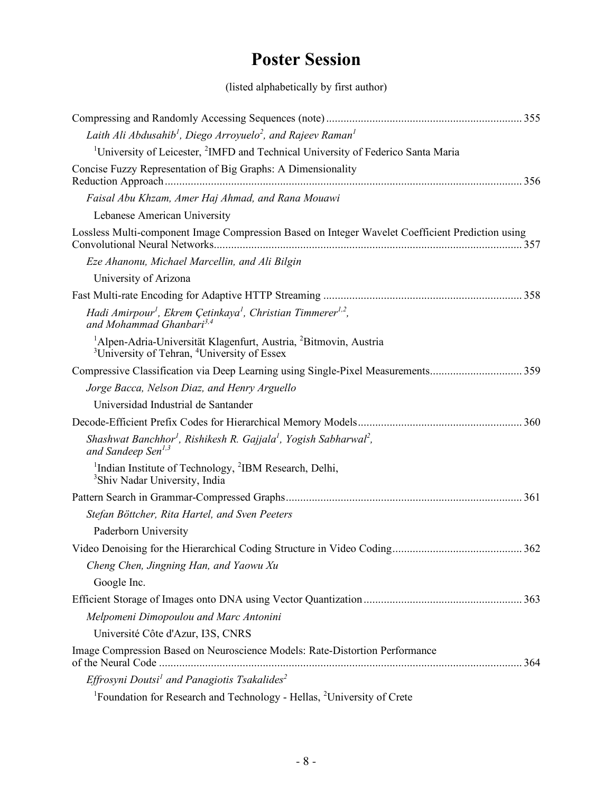# **Poster Session**

(listed alphabetically by first author)

| Laith Ali Abdusahib <sup>1</sup> , Diego Arroyuelo <sup>2</sup> , and Rajeev Raman <sup>1</sup>                                                                 |     |
|-----------------------------------------------------------------------------------------------------------------------------------------------------------------|-----|
| <sup>1</sup> University of Leicester, <sup>2</sup> IMFD and Technical University of Federico Santa Maria                                                        |     |
| Concise Fuzzy Representation of Big Graphs: A Dimensionality                                                                                                    |     |
| Faisal Abu Khzam, Amer Haj Ahmad, and Rana Mouawi                                                                                                               |     |
| Lebanese American University                                                                                                                                    |     |
| Lossless Multi-component Image Compression Based on Integer Wavelet Coefficient Prediction using                                                                |     |
| Eze Ahanonu, Michael Marcellin, and Ali Bilgin                                                                                                                  |     |
| University of Arizona                                                                                                                                           |     |
|                                                                                                                                                                 |     |
| Hadi Amirpour <sup>1</sup> , Ekrem Çetinkaya <sup>1</sup> , Christian Timmerer <sup>1,2</sup> ,<br>and Mohammad Ghanbari <sup>3,4</sup>                         |     |
| <sup>1</sup> Alpen-Adria-Universität Klagenfurt, Austria, <sup>2</sup> Bitmovin, Austria<br><sup>3</sup> University of Tehran, <sup>4</sup> University of Essex |     |
| Compressive Classification via Deep Learning using Single-Pixel Measurements359                                                                                 |     |
| Jorge Bacca, Nelson Diaz, and Henry Arguello                                                                                                                    |     |
| Universidad Industrial de Santander                                                                                                                             |     |
|                                                                                                                                                                 |     |
| Shashwat Banchhor <sup>1</sup> , Rishikesh R. Gajjala <sup>1</sup> , Yogish Sabharwal <sup>2</sup> ,<br>and Sandeep Sen <sup>1,3</sup>                          |     |
| <sup>1</sup> Indian Institute of Technology, <sup>2</sup> IBM Research, Delhi,<br><sup>3</sup> Shiv Nadar University, India                                     |     |
|                                                                                                                                                                 |     |
| Stefan Böttcher, Rita Hartel, and Sven Peeters                                                                                                                  |     |
| Paderborn University                                                                                                                                            |     |
|                                                                                                                                                                 |     |
| Cheng Chen, Jingning Han, and Yaowu Xu                                                                                                                          |     |
| Google Inc.                                                                                                                                                     |     |
|                                                                                                                                                                 | 363 |
| Melpomeni Dimopoulou and Marc Antonini                                                                                                                          |     |
| Université Côte d'Azur, I3S, CNRS                                                                                                                               |     |
| Image Compression Based on Neuroscience Models: Rate-Distortion Performance                                                                                     | 364 |
| Effrosyni Doutsi <sup>1</sup> and Panagiotis Tsakalides <sup>2</sup>                                                                                            |     |
| <sup>1</sup> Foundation for Research and Technology - Hellas, <sup>2</sup> University of Crete                                                                  |     |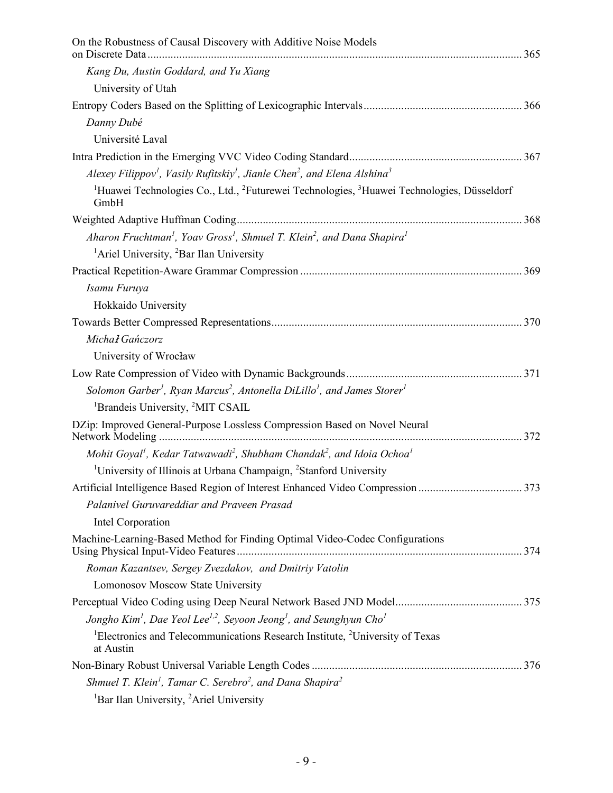| On the Robustness of Causal Discovery with Additive Noise Models                                                                      |  |
|---------------------------------------------------------------------------------------------------------------------------------------|--|
| Kang Du, Austin Goddard, and Yu Xiang                                                                                                 |  |
| University of Utah                                                                                                                    |  |
|                                                                                                                                       |  |
| Danny Dubé                                                                                                                            |  |
| Université Laval                                                                                                                      |  |
|                                                                                                                                       |  |
| Alexey Filippov <sup>1</sup> , Vasily Rufitskiy <sup>1</sup> , Jianle Chen <sup>2</sup> , and Elena Alshina <sup>3</sup>              |  |
| <sup>1</sup> Huawei Technologies Co., Ltd., <sup>2</sup> Futurewei Technologies, <sup>3</sup> Huawei Technologies, Düsseldorf<br>GmbH |  |
|                                                                                                                                       |  |
| Aharon Fruchtman <sup>1</sup> , Yoav Gross <sup>1</sup> , Shmuel T. Klein <sup>2</sup> , and Dana Shapira <sup>1</sup>                |  |
| <sup>1</sup> Ariel University, <sup>2</sup> Bar Ilan University                                                                       |  |
|                                                                                                                                       |  |
| Isamu Furuya                                                                                                                          |  |
| Hokkaido University                                                                                                                   |  |
|                                                                                                                                       |  |
| Michał Gańczorz                                                                                                                       |  |
| University of Wrocław                                                                                                                 |  |
|                                                                                                                                       |  |
| Solomon Garber <sup>1</sup> , Ryan Marcus <sup>2</sup> , Antonella DiLillo <sup>1</sup> , and James Storer <sup>1</sup>               |  |
| <sup>1</sup> Brandeis University, <sup>2</sup> MIT CSAIL                                                                              |  |
| DZip: Improved General-Purpose Lossless Compression Based on Novel Neural                                                             |  |
| Mohit Goyal <sup>1</sup> , Kedar Tatwawadi <sup>2</sup> , Shubham Chandak <sup>2</sup> , and Idoia Ochoa <sup>1</sup>                 |  |
| <sup>1</sup> University of Illinois at Urbana Champaign, <sup>2</sup> Stanford University                                             |  |
|                                                                                                                                       |  |
| Palanivel Guruvareddiar and Praveen Prasad                                                                                            |  |
| Intel Corporation                                                                                                                     |  |
| Machine-Learning-Based Method for Finding Optimal Video-Codec Configurations                                                          |  |
| Roman Kazantsev, Sergey Zvezdakov, and Dmitriy Vatolin                                                                                |  |
| Lomonosov Moscow State University                                                                                                     |  |
|                                                                                                                                       |  |
| Jongho Kim <sup>1</sup> , Dae Yeol Lee <sup>1,2</sup> , Seyoon Jeong <sup>1</sup> , and Seunghyun Cho <sup>1</sup>                    |  |
| <sup>1</sup> Electronics and Telecommunications Research Institute, <sup>2</sup> University of Texas<br>at Austin                     |  |
|                                                                                                                                       |  |
| Shmuel T. Klein <sup>1</sup> , Tamar C. Serebro <sup>2</sup> , and Dana Shapira <sup>2</sup>                                          |  |
| <sup>1</sup> Bar Ilan University, <sup>2</sup> Ariel University                                                                       |  |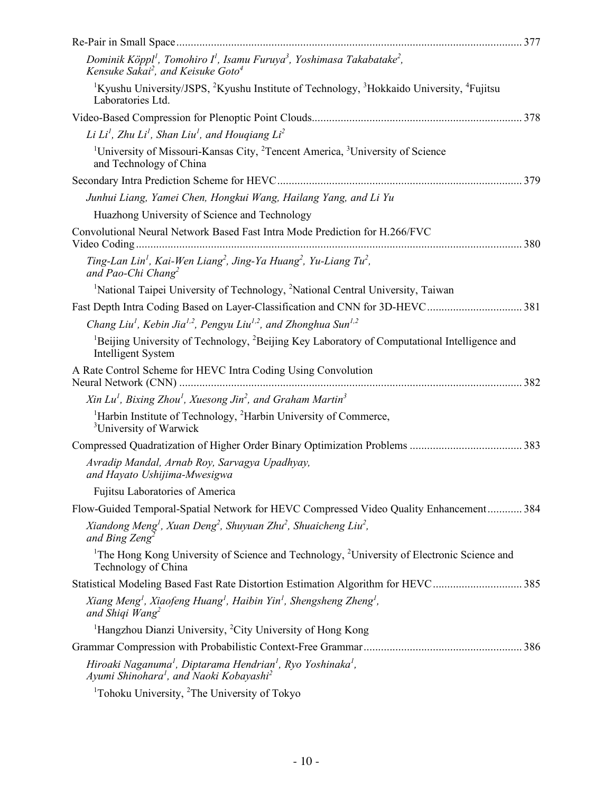| Dominik Köppl <sup>1</sup> , Tomohiro I <sup>1</sup> , Isamu Furuya <sup>3</sup> , Yoshimasa Takabatake <sup>2</sup> ,<br>Kensuke Sakai <sup>2</sup> , and Keisuke Goto <sup>4</sup> |  |
|--------------------------------------------------------------------------------------------------------------------------------------------------------------------------------------|--|
| <sup>1</sup> Kyushu University/JSPS, <sup>2</sup> Kyushu Institute of Technology, <sup>3</sup> Hokkaido University, <sup>4</sup> Fujitsu<br>Laboratories Ltd.                        |  |
|                                                                                                                                                                                      |  |
| Li Li <sup>1</sup> , Zhu Li <sup>1</sup> , Shan Liu <sup>1</sup> , and Hougiang Li <sup>2</sup>                                                                                      |  |
| <sup>1</sup> University of Missouri-Kansas City, <sup>2</sup> Tencent America, <sup>3</sup> University of Science<br>and Technology of China                                         |  |
|                                                                                                                                                                                      |  |
| Junhui Liang, Yamei Chen, Hongkui Wang, Hailang Yang, and Li Yu                                                                                                                      |  |
| Huazhong University of Science and Technology                                                                                                                                        |  |
| Convolutional Neural Network Based Fast Intra Mode Prediction for H.266/FVC                                                                                                          |  |
| Ting-Lan Lin <sup>1</sup> , Kai-Wen Liang <sup>2</sup> , Jing-Ya Huang <sup>2</sup> , Yu-Liang Tu <sup>2</sup> ,<br>and Pao-Chi Chang <sup>2</sup>                                   |  |
| <sup>1</sup> National Taipei University of Technology, <sup>2</sup> National Central University, Taiwan                                                                              |  |
|                                                                                                                                                                                      |  |
| Chang Liu <sup>1</sup> , Kebin Jia <sup>1,2</sup> , Pengyu Liu <sup>1,2</sup> , and Zhonghua Sun <sup>1,2</sup>                                                                      |  |
| <sup>1</sup> Beijing University of Technology, <sup>2</sup> Beijing Key Laboratory of Computational Intelligence and<br>Intelligent System                                           |  |
| A Rate Control Scheme for HEVC Intra Coding Using Convolution                                                                                                                        |  |
| Xin Lu <sup>1</sup> , Bixing Zhou <sup>1</sup> , Xuesong Jin <sup>2</sup> , and Graham Martin <sup>3</sup>                                                                           |  |
| <sup>1</sup> Harbin Institute of Technology, <sup>2</sup> Harbin University of Commerce,<br><sup>3</sup> University of Warwick                                                       |  |
|                                                                                                                                                                                      |  |
| Avradip Mandal, Arnab Roy, Sarvagya Upadhyay,<br>and Hayato Ushijima-Mwesigwa                                                                                                        |  |
| Fujitsu Laboratories of America                                                                                                                                                      |  |
| Flow-Guided Temporal-Spatial Network for HEVC Compressed Video Quality Enhancement 384                                                                                               |  |
| Xiandong Meng <sup>1</sup> , Xuan Deng <sup>2</sup> , Shuyuan Zhu <sup>2</sup> , Shuaicheng Liu <sup>2</sup> ,<br>and Bing Zeng <sup>2</sup>                                         |  |
| <sup>1</sup> The Hong Kong University of Science and Technology, <sup>2</sup> University of Electronic Science and<br>Technology of China                                            |  |
| Statistical Modeling Based Fast Rate Distortion Estimation Algorithm for HEVC385                                                                                                     |  |
| Xiang Meng <sup>1</sup> , Xiaofeng Huang <sup>1</sup> , Haibin Yin <sup>1</sup> , Shengsheng Zheng <sup>1</sup> ,<br>and Shiqi Wang <sup>2</sup>                                     |  |
| <sup>1</sup> Hangzhou Dianzi University, <sup>2</sup> City University of Hong Kong                                                                                                   |  |
|                                                                                                                                                                                      |  |
| Hiroaki Naganuma <sup>1</sup> , Diptarama Hendrian <sup>1</sup> , Ryo Yoshinaka <sup>1</sup> ,<br>Ayumi Shinohara <sup>1</sup> , and Naoki Kobayashi <sup>2</sup>                    |  |
| <sup>1</sup> Tohoku University, <sup>2</sup> The University of Tokyo                                                                                                                 |  |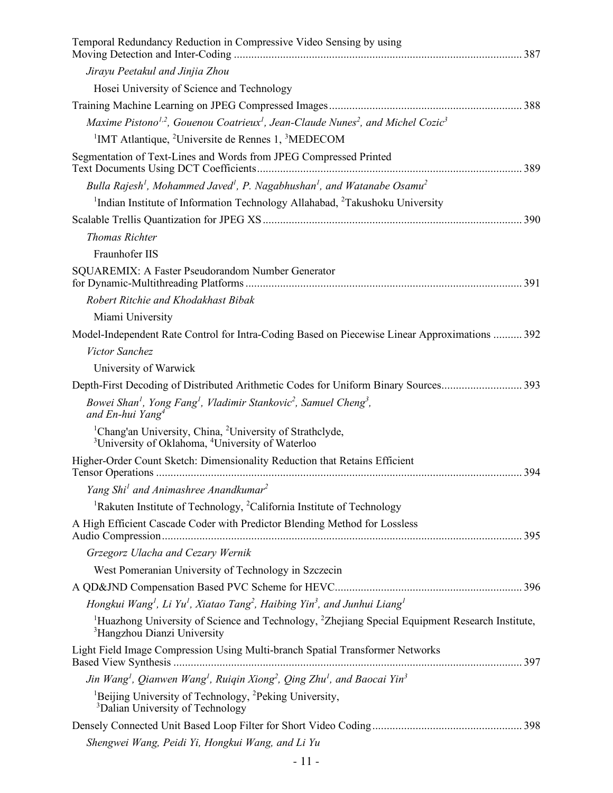| Temporal Redundancy Reduction in Compressive Video Sensing by using                                                                                                |  |
|--------------------------------------------------------------------------------------------------------------------------------------------------------------------|--|
| Jirayu Peetakul and Jinjia Zhou                                                                                                                                    |  |
| Hosei University of Science and Technology                                                                                                                         |  |
|                                                                                                                                                                    |  |
| Maxime Pistono <sup>1,2</sup> , Gouenou Coatrieux <sup>1</sup> , Jean-Claude Nunes <sup>2</sup> , and Michel Cozic <sup>3</sup>                                    |  |
| <sup>1</sup> IMT Atlantique, <sup>2</sup> Universite de Rennes 1, <sup>3</sup> MEDECOM                                                                             |  |
| Segmentation of Text-Lines and Words from JPEG Compressed Printed                                                                                                  |  |
| Bulla Rajesh <sup>1</sup> , Mohammed Javed <sup>1</sup> , P. Nagabhushan <sup>1</sup> , and Watanabe Osamu <sup>2</sup>                                            |  |
| <sup>1</sup> Indian Institute of Information Technology Allahabad, <sup>2</sup> Takushoku University                                                               |  |
|                                                                                                                                                                    |  |
| <b>Thomas Richter</b>                                                                                                                                              |  |
| Fraunhofer IIS                                                                                                                                                     |  |
| <b>SQUAREMIX: A Faster Pseudorandom Number Generator</b>                                                                                                           |  |
| Robert Ritchie and Khodakhast Bibak                                                                                                                                |  |
| Miami University                                                                                                                                                   |  |
| Model-Independent Rate Control for Intra-Coding Based on Piecewise Linear Approximations  392                                                                      |  |
| Victor Sanchez                                                                                                                                                     |  |
| University of Warwick                                                                                                                                              |  |
|                                                                                                                                                                    |  |
| Bowei Shan <sup>1</sup> , Yong Fang <sup>1</sup> , Vladimir Stankovic <sup>2</sup> , Samuel Cheng <sup>3</sup> ,<br>and En-hui Yang <sup>4</sup>                   |  |
| <sup>1</sup> Chang'an University, China, <sup>2</sup> University of Strathclyde,<br><sup>3</sup> University of Oklahoma, <sup>4</sup> University of Waterloo       |  |
| Higher-Order Count Sketch: Dimensionality Reduction that Retains Efficient                                                                                         |  |
| Yang Shi <sup>1</sup> and Animashree Anandkumar <sup>2</sup>                                                                                                       |  |
| <sup>1</sup> Rakuten Institute of Technology, <sup>2</sup> California Institute of Technology                                                                      |  |
| A High Efficient Cascade Coder with Predictor Blending Method for Lossless                                                                                         |  |
| Grzegorz Ulacha and Cezary Wernik                                                                                                                                  |  |
| West Pomeranian University of Technology in Szczecin                                                                                                               |  |
|                                                                                                                                                                    |  |
| Hongkui Wang <sup>1</sup> , Li Yu <sup>1</sup> , Xiatao Tang <sup>2</sup> , Haibing Yin <sup>3</sup> , and Junhui Liang <sup>1</sup>                               |  |
| <sup>1</sup> Huazhong University of Science and Technology, <sup>2</sup> Zhejiang Special Equipment Research Institute,<br><sup>3</sup> Hangzhou Dianzi University |  |
| Light Field Image Compression Using Multi-branch Spatial Transformer Networks                                                                                      |  |
| Jin Wang <sup>1</sup> , Qianwen Wang <sup>1</sup> , Ruiqin Xiong <sup>2</sup> , Qing Zhu <sup>1</sup> , and Baocai Yin <sup>3</sup>                                |  |
| <sup>1</sup> Beijing University of Technology, <sup>2</sup> Peking University,<br><sup>3</sup> Dalian University of Technology                                     |  |
|                                                                                                                                                                    |  |
| Shengwei Wang, Peidi Yi, Hongkui Wang, and Li Yu                                                                                                                   |  |
|                                                                                                                                                                    |  |